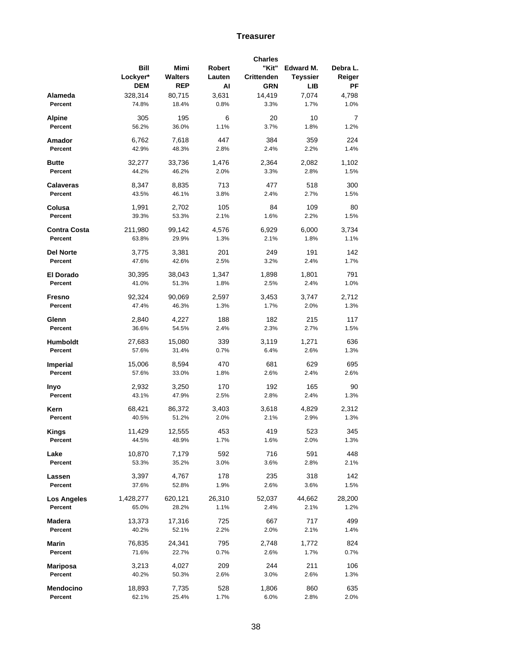## **Treasurer**

|                     |            |            |        | <b>Charles</b> |                 |          |
|---------------------|------------|------------|--------|----------------|-----------------|----------|
|                     | Bill       | Mimi       | Robert | "Kit"          | Edward M.       | Debra L. |
|                     | Lockyer*   | Walters    | Lauten | Crittenden     | <b>Teyssier</b> | Reiger   |
|                     | <b>DEM</b> | <b>REP</b> | AI     | <b>GRN</b>     | LIB             | РF       |
|                     |            |            |        |                |                 |          |
| Alameda             | 328,314    | 80,715     | 3,631  | 14,419         | 7,074           | 4,798    |
| Percent             | 74.8%      | 18.4%      | 0.8%   | 3.3%           | 1.7%            | 1.0%     |
| Alpine              | 305        | 195        | 6      | 20             | 10              | 7        |
| Percent             | 56.2%      | 36.0%      | 1.1%   | 3.7%           | 1.8%            | 1.2%     |
|                     |            |            |        |                |                 |          |
| Amador              | 6,762      | 7,618      | 447    | 384            | 359             | 224      |
| Percent             | 42.9%      | 48.3%      | 2.8%   | 2.4%           | 2.2%            | 1.4%     |
|                     |            |            |        |                |                 |          |
| <b>Butte</b>        | 32,277     | 33,736     | 1,476  | 2,364          | 2,082           | 1,102    |
| Percent             | 44.2%      | 46.2%      | 2.0%   | 3.3%           | 2.8%            | 1.5%     |
|                     |            |            | 713    | 477            | 518             | 300      |
| <b>Calaveras</b>    | 8,347      | 8,835      |        |                |                 |          |
| Percent             | 43.5%      | 46.1%      | 3.8%   | 2.4%           | 2.7%            | 1.5%     |
| Colusa              | 1,991      | 2,702      | 105    | 84             | 109             | 80       |
| Percent             | 39.3%      | 53.3%      | 2.1%   | 1.6%           | 2.2%            | 1.5%     |
|                     |            |            |        |                |                 |          |
| <b>Contra Costa</b> | 211,980    | 99,142     | 4,576  | 6,929          | 6,000           | 3,734    |
| Percent             | 63.8%      | 29.9%      | 1.3%   | 2.1%           | 1.8%            | 1.1%     |
|                     |            |            |        |                |                 |          |
| <b>Del Norte</b>    | 3,775      | 3,381      | 201    | 249            | 191             | 142      |
| Percent             | 47.6%      | 42.6%      | 2.5%   | 3.2%           | 2.4%            | 1.7%     |
| <b>El Dorado</b>    |            |            |        | 1,898          | 1,801           | 791      |
|                     | 30,395     | 38,043     | 1,347  |                |                 |          |
| Percent             | 41.0%      | 51.3%      | 1.8%   | 2.5%           | 2.4%            | 1.0%     |
| Fresno              | 92,324     | 90,069     | 2,597  | 3,453          | 3,747           | 2,712    |
| Percent             | 47.4%      | 46.3%      | 1.3%   | 1.7%           | 2.0%            | 1.3%     |
|                     |            |            |        |                |                 |          |
| Glenn               | 2,840      | 4,227      | 188    | 182            | 215             | 117      |
| Percent             | 36.6%      | 54.5%      | 2.4%   | 2.3%           | 2.7%            | 1.5%     |
|                     |            |            |        |                |                 |          |
| Humboldt            | 27,683     | 15,080     | 339    | 3,119          | 1,271           | 636      |
| Percent             | 57.6%      | 31.4%      | 0.7%   | 6.4%           | 2.6%            | 1.3%     |
| <b>Imperial</b>     | 15,006     | 8,594      | 470    | 681            | 629             | 695      |
| Percent             | 57.6%      | 33.0%      | 1.8%   | 2.6%           | 2.4%            | 2.6%     |
|                     |            |            |        |                |                 |          |
| Inyo                | 2,932      | 3,250      | 170    | 192            | 165             | 90       |
| Percent             | 43.1%      | 47.9%      | 2.5%   | 2.8%           | 2.4%            | 1.3%     |
|                     |            |            |        |                |                 |          |
| Kern                | 68,421     | 86,372     | 3,403  | 3,618          | 4,829           | 2,312    |
| Percent             | 40.5%      | 51.2%      | 2.0%   | 2.1%           | 2.9%            | 1.3%     |
|                     |            |            |        |                |                 |          |
| <b>Kings</b>        | 11,429     | 12,555     | 453    | 419            | 523             | 345      |
| Percent             | 44.5%      | 48.9%      | 1.7%   | 1.6%           | 2.0%            | 1.3%     |
| Lake                | 10,870     | 7,179      | 592    | 716            | 591             | 448      |
| Percent             | 53.3%      | 35.2%      | 3.0%   | 3.6%           | 2.8%            | 2.1%     |
|                     |            |            |        |                |                 |          |
| Lassen              | 3,397      | 4,767      | 178    | 235            | 318             | 142      |
| Percent             | 37.6%      | 52.8%      | 1.9%   | 2.6%           | 3.6%            | 1.5%     |
|                     |            |            |        |                |                 |          |
| Los Angeles         | 1,428,277  | 620,121    | 26,310 | 52,037         | 44,662          | 28,200   |
| Percent             | 65.0%      | 28.2%      | 1.1%   | 2.4%           | 2.1%            | 1.2%     |
| Madera              | 13,373     | 17,316     | 725    | 667            | 717             | 499      |
| Percent             | 40.2%      | 52.1%      | 2.2%   | 2.0%           | 2.1%            | 1.4%     |
|                     |            |            |        |                |                 |          |
| Marin               | 76,835     | 24,341     | 795    | 2,748          | 1,772           | 824      |
| Percent             | 71.6%      | 22.7%      | 0.7%   | 2.6%           | 1.7%            | 0.7%     |
|                     |            |            |        |                |                 |          |
| Mariposa            | 3,213      | 4,027      | 209    | 244            | 211             | 106      |
| Percent             | 40.2%      | 50.3%      | 2.6%   | 3.0%           | 2.6%            | 1.3%     |
|                     |            |            |        |                |                 |          |
| Mendocino           | 18,893     | 7,735      | 528    | 1,806          | 860             | 635      |
| Percent             | 62.1%      | 25.4%      | 1.7%   | 6.0%           | 2.8%            | 2.0%     |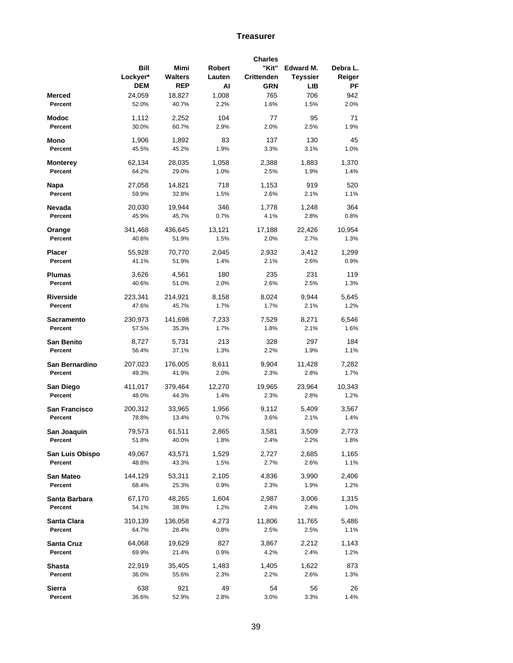## **Treasurer**

|                 |            |            |        | <b>Charles</b> |                 |          |
|-----------------|------------|------------|--------|----------------|-----------------|----------|
|                 | Bill       | Mimi       | Robert | "Kit"          | Edward M.       | Debra L. |
|                 | Lockyer*   | Walters    | Lauten | Crittenden     | <b>Teyssier</b> | Reiger   |
|                 | <b>DEM</b> | <b>REP</b> | AI     | <b>GRN</b>     | <b>LIB</b>      | РF       |
|                 |            |            |        |                |                 |          |
| Merced          | 24,059     | 18,827     | 1,008  | 765            | 706             | 942      |
| Percent         | 52.0%      | 40.7%      | 2.2%   | 1.6%           | 1.5%            | 2.0%     |
| Modoc           | 1,112      | 2,252      | 104    | 77             | 95              | 71       |
| Percent         | 30.0%      | 60.7%      | 2.9%   | 2.0%           | 2.5%            | 1.9%     |
|                 |            |            |        |                |                 |          |
| Mono            | 1,906      | 1,892      | 83     | 137            | 130             | 45       |
| Percent         | 45.5%      | 45.2%      | 1.9%   | 3.3%           | 3.1%            | 1.0%     |
|                 |            |            |        |                |                 |          |
| Monterey        | 62,134     | 28,035     | 1,058  | 2,388          | 1,883           | 1,370    |
| Percent         | 64.2%      | 29.0%      | 1.0%   | 2.5%           | 1.9%            | 1.4%     |
|                 | 27,058     | 14,821     | 718    | 1,153          | 919             | 520      |
| Napa            |            |            |        |                |                 |          |
| Percent         | 59.9%      | 32.8%      | 1.5%   | 2.6%           | 2.1%            | 1.1%     |
| Nevada          | 20,030     | 19,944     | 346    | 1,778          | 1,248           | 364      |
| Percent         | 45.9%      | 45.7%      | 0.7%   | 4.1%           | 2.8%            | 0.8%     |
|                 |            |            |        |                |                 |          |
| Orange          | 341,468    | 436,645    | 13,121 | 17,188         | 22,426          | 10,954   |
| Percent         | 40.6%      | 51.9%      | 1.5%   | 2.0%           | 2.7%            | 1.3%     |
|                 |            |            |        |                |                 |          |
| <b>Placer</b>   | 55,928     | 70,770     | 2,045  | 2,932          | 3,412           | 1,299    |
| Percent         | 41.1%      | 51.9%      | 1.4%   | 2.1%           | 2.6%            | 0.9%     |
| Plumas          | 3,626      | 4,561      | 180    | 235            | 231             | 119      |
| Percent         | 40.6%      | 51.0%      | 2.0%   | 2.6%           | 2.5%            | 1.3%     |
|                 |            |            |        |                |                 |          |
| Riverside       | 223,341    | 214,921    | 8,158  | 8,024          | 9,944           | 5,645    |
| Percent         | 47.6%      | 45.7%      | 1.7%   | 1.7%           | 2.1%            | 1.2%     |
|                 |            |            |        |                |                 |          |
| Sacramento      | 230,973    | 141,698    | 7,233  | 7,529          | 8,271           | 6,546    |
| Percent         | 57.5%      | 35.3%      | 1.7%   | 1.8%           | 2.1%            | 1.6%     |
| San Benito      | 8,727      | 5,731      | 213    | 328            | 297             | 184      |
| Percent         |            |            |        | 2.2%           |                 |          |
|                 | 56.4%      | 37.1%      | 1.3%   |                | 1.9%            | 1.1%     |
| San Bernardino  | 207,023    | 176,005    | 8,611  | 9,904          | 11,428          | 7,282    |
| Percent         | 49.3%      | 41.9%      | 2.0%   | 2.3%           | 2.8%            | 1.7%     |
|                 |            |            |        |                |                 |          |
| San Diego       | 411,017    | 379,464    | 12,270 | 19,965         | 23,964          | 10,343   |
| Percent         | 48.0%      | 44.3%      | 1.4%   | 2.3%           | 2.8%            | 1.2%     |
| San Francisco   |            |            |        |                |                 |          |
|                 | 200,312    | 33,965     | 1,956  | 9,112          | 5,409           | 3,567    |
| Percent         | 78.8%      | 13.4%      | 0.7%   | 3.6%           | 2.1%            | 1.4%     |
| San Joaquin     | 79,573     | 61,511     | 2,865  | 3,581          | 3,509           | 2,773    |
| Percent         | 51.8%      | 40.0%      | 1.8%   | 2.4%           | 2.2%            | 1.8%     |
|                 |            |            |        |                |                 |          |
| San Luis Obispo | 49,067     | 43,571     | 1,529  | 2,727          | 2,685           | 1,165    |
| Percent         | 48.8%      | 43.3%      | 1.5%   | 2.7%           | 2.6%            | 1.1%     |
|                 |            |            |        |                |                 |          |
| San Mateo       | 144,129    | 53,311     | 2,105  | 4,836          | 3,990           | 2,406    |
| Percent         | 68.4%      | 25.3%      | 0.9%   | 2.3%           | 1.9%            | 1.2%     |
| Santa Barbara   | 67,170     | 48,265     | 1,604  | 2,987          | 3,006           | 1,315    |
| Percent         | 54.1%      | 38.9%      | 1.2%   | 2.4%           | 2.4%            | 1.0%     |
|                 |            |            |        |                |                 |          |
| Santa Clara     | 310,139    | 136,058    | 4,273  | 11,806         | 11,765          | 5,486    |
| Percent         | 64.7%      | 28.4%      | 0.8%   | 2.5%           | 2.5%            | 1.1%     |
|                 |            |            |        |                |                 |          |
| Santa Cruz      | 64,068     | 19,629     | 827    | 3,867          | 2,212           | 1,143    |
| Percent         | 69.9%      | 21.4%      | 0.9%   | 4.2%           | 2.4%            | 1.2%     |
| Shasta          | 22,919     | 35,405     | 1,483  | 1,405          | 1,622           | 873      |
| Percent         | 36.0%      | 55.6%      | 2.3%   | 2.2%           | 2.6%            | 1.3%     |
|                 |            |            |        |                |                 |          |
| <b>Sierra</b>   | 638        | 921        | 49     | 54             | 56              | 26       |
| Percent         | 36.6%      | 52.9%      | 2.8%   | 3.0%           | 3.3%            | 1.4%     |